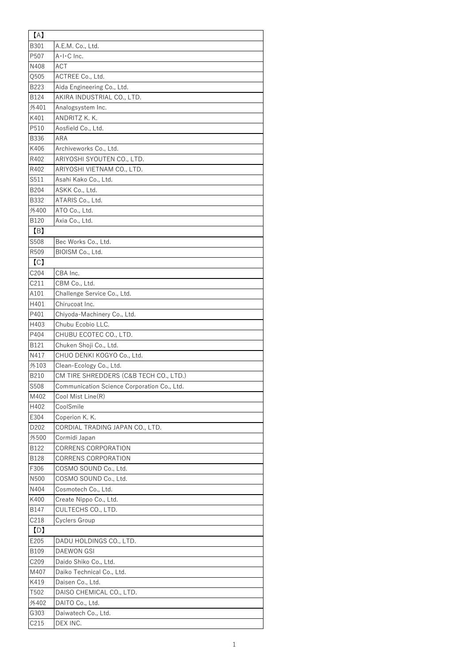| [A]                 |                                             |
|---------------------|---------------------------------------------|
| B301                | A.E.M. Co., Ltd.                            |
| P507                | $A \cdot \cdot \cdot C$ Inc.                |
| N408                | <b>ACT</b>                                  |
| Q505                | ACTREE Co., Ltd.                            |
| B223                | Aida Engineering Co., Ltd.                  |
| <b>B124</b>         | AKIRA INDUSTRIAL CO., LTD.                  |
| 外401                | Analogsystem Inc.                           |
| K401                | ANDRITZ K. K.                               |
| P510                | Aosfield Co., Ltd.                          |
| <b>B336</b>         | ARA                                         |
| K406                | Archiveworks Co., Ltd.                      |
| R402                | ARIYOSHI SYOUTEN CO., LTD.                  |
| R402                | ARIYOSHI VIETNAM CO., LTD.                  |
| S511                | Asahi Kako Co., Ltd.                        |
| B204                | ASKK Co., Ltd.                              |
| B332                | ATARIS Co., Ltd.                            |
| 外400                | ATO Co., Ltd.                               |
| B120                | Axia Co., Ltd.                              |
| [B]                 |                                             |
| S508                | Bec Works Co., Ltd.                         |
| R509                | BIOISM Co., Ltd.                            |
| $\lbrack c \rbrack$ |                                             |
| C204                | CBA Inc.                                    |
| C211                | CBM Co., Ltd.                               |
| A101                | Challenge Service Co., Ltd.                 |
| H401                | Chirucoat Inc.                              |
| P401                | Chiyoda-Machinery Co., Ltd.                 |
| H403                | Chubu Ecobio LLC.                           |
| P404                | CHUBU ECOTEC CO., LTD.                      |
| <b>B121</b>         | Chuken Shoji Co., Ltd.                      |
| N417                | CHUO DENKI KOGYO Co., Ltd.                  |
| 外103                | Clean-Ecology Co., Ltd.                     |
| B210                | CM TIRE SHREDDERS (C&B TECH CO., LTD.)      |
| S508                | Communication Science Corporation Co., Ltd. |
| M402                | Cool Mist Line(R)                           |
| H402                | CoolSmile                                   |
| E304                | Coperion K. K.                              |
| D202                | CORDIAL TRADING JAPAN CO., LTD.             |
| 外500                | Cormidi Japan                               |
| B122                | CORRENS CORPORATION                         |
| <b>B128</b>         | <b>CORRENS CORPORATION</b>                  |
| F306                | COSMO SOUND Co., Ltd.                       |
| N500                | COSMO SOUND Co., Ltd.                       |
| N404                | Cosmotech Co., Ltd.                         |
| K400                | Create Nippo Co., Ltd.                      |
| <b>B147</b>         | CULTECHS CO., LTD.                          |
| C218                | Cyclers Group                               |
| [D]                 |                                             |
| E205                | DADU HOLDINGS CO., LTD.                     |
| <b>B109</b>         | <b>DAEWON GSI</b>                           |
| C209                | Daido Shiko Co., Ltd.                       |
| M407                | Daiko Technical Co., Ltd.                   |
| K419                | Daisen Co., Ltd.                            |
| T502                | DAISO CHEMICAL CO., LTD.                    |
| 外402                | DAITO Co., Ltd.                             |
| G303                | Daiwatech Co., Ltd.                         |
| C215                | DEX INC.                                    |
|                     |                                             |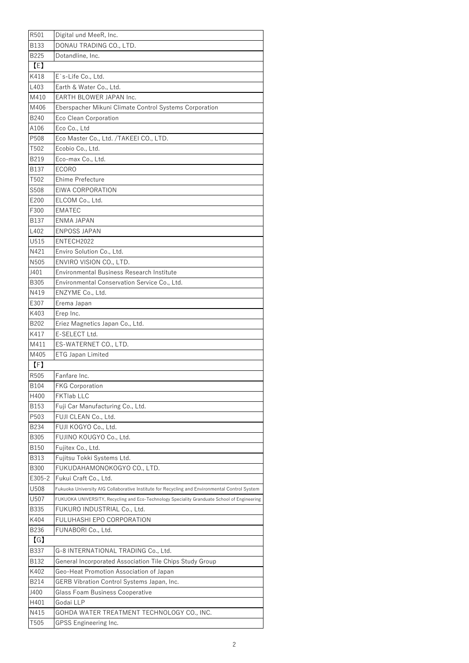| R501        | Digital und MeeR, Inc.                                                                        |
|-------------|-----------------------------------------------------------------------------------------------|
| <b>B133</b> | DONAU TRADING CO., LTD.                                                                       |
| B225        | Dotandline, Inc.                                                                              |
| (E)         |                                                                                               |
| K418        | E's-Life Co., Ltd.                                                                            |
| L403        | Earth & Water Co., Ltd.                                                                       |
| M410        | EARTH BLOWER JAPAN Inc.                                                                       |
| M406        | Eberspacher Mikuni Climate Control Systems Corporation                                        |
| B240        | Eco Clean Corporation                                                                         |
| A106        | Eco Co., Ltd                                                                                  |
| P508        | Eco Master Co., Ltd. /TAKEEI CO., LTD.                                                        |
| T502        | Ecobio Co., Ltd.                                                                              |
| B219        | Eco-max Co., Ltd.                                                                             |
|             |                                                                                               |
| <b>B137</b> | <b>ECORO</b>                                                                                  |
| T502        | Ehime Prefecture                                                                              |
| S508        | EIWA CORPORATION                                                                              |
| E200        | ELCOM Co., Ltd.                                                                               |
| F300        | <b>EMATEC</b>                                                                                 |
| <b>B137</b> | ENMA JAPAN                                                                                    |
| L402        | <b>ENPOSS JAPAN</b>                                                                           |
| U515        | ENTECH2022                                                                                    |
| N421        | Enviro Solution Co., Ltd.                                                                     |
| N505        | ENVIRO VISION CO., LTD.                                                                       |
| J401        | Environmental Business Research Institute                                                     |
| <b>B305</b> | Environmental Conservation Service Co., Ltd.                                                  |
| N419        | ENZYME Co., Ltd.                                                                              |
| E307        | Erema Japan                                                                                   |
| K403        | Erep Inc.                                                                                     |
| B202        | Eriez Magnetics Japan Co., Ltd.                                                               |
| K417        | E-SELECT Ltd.                                                                                 |
| M411        | ES-WATERNET CO., LTD.                                                                         |
| M405        | <b>ETG Japan Limited</b>                                                                      |
| (F)         |                                                                                               |
| R505        | Fanfare Inc.                                                                                  |
| <b>B104</b> | <b>FKG Corporation</b>                                                                        |
| H400        | <b>FKTlab LLC</b>                                                                             |
|             |                                                                                               |
| <b>B153</b> | Fuji Car Manufacturing Co., Ltd.                                                              |
| P503        | FUJI CLEAN Co., Ltd.                                                                          |
| B234        | FUJI KOGYO Co., Ltd.                                                                          |
| <b>B305</b> | FUJINO KOUGYO Co., Ltd.                                                                       |
| <b>B150</b> | Fujitex Co., Ltd.                                                                             |
| <b>B313</b> | Fujitsu Tokki Systems Ltd.                                                                    |
| <b>B300</b> | FUKUDAHAMONOKOGYO CO., LTD.                                                                   |
| E305-2      | Fukui Craft Co., Ltd.                                                                         |
| U508        | Fukuoka University AIG Collaborative Institute for Recycling and Environmental Control System |
| U507        | FUKUOKA UNIVERSITY, Recycling and Eco-Technology Speciality Granduate School of Engineering   |
| <b>B335</b> | FUKURO INDUSTRIAL Co., Ltd.                                                                   |
| K404        | <b>FULUHASHI EPO CORPORATION</b>                                                              |
| B236        | FUNABORI Co., Ltd.                                                                            |
| [G]         |                                                                                               |
| <b>B337</b> | G-8 INTERNATIONAL TRADING Co., Ltd.                                                           |
| B132        | General Incorporated Association Tile Chips Study Group                                       |
| K402        | Geo-Heat Promotion Association of Japan                                                       |
| B214        | GERB Vibration Control Systems Japan, Inc.                                                    |
| J400        | Glass Foam Business Cooperative                                                               |
| H401        | Godai LLP                                                                                     |
| N415        | GOHDA WATER TREATMENT TECHNOLOGY CO., INC.                                                    |
| T505        | GPSS Engineering Inc.                                                                         |
|             |                                                                                               |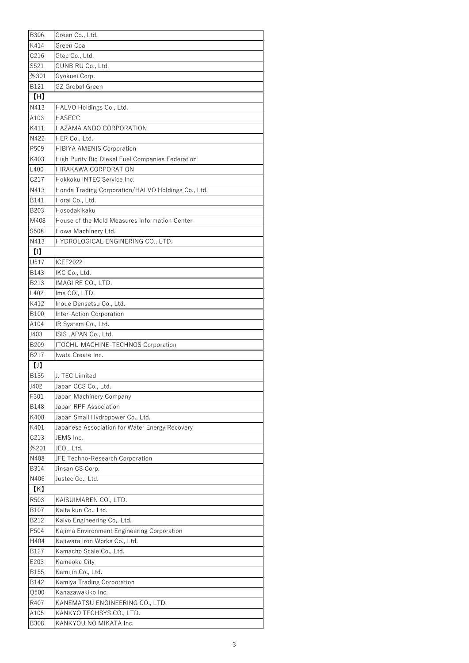| <b>B306</b>                            | Green Co., Ltd.                                    |
|----------------------------------------|----------------------------------------------------|
| K414                                   | Green Coal                                         |
| C216                                   | Gtec Co., Ltd.                                     |
| S521                                   | GUNBIRU Co., Ltd.                                  |
| 外301                                   | Gyokuei Corp.                                      |
| <b>B121</b>                            | <b>GZ</b> Grobal Green                             |
| (H)                                    |                                                    |
| N413                                   | HALVO Holdings Co., Ltd.                           |
| A103                                   | <b>HASECC</b>                                      |
| K411                                   | HAZAMA ANDO CORPORATION                            |
| N422                                   | HER Co., Ltd.                                      |
| P509                                   | <b>HIBIYA AMENIS Corporation</b>                   |
| K403                                   | High Purity Bio Diesel Fuel Companies Federation   |
| L400                                   | HIRAKAWA CORPORATION                               |
| C217                                   | Hokkoku INTEC Service Inc.                         |
| N413                                   | Honda Trading Corporation/HALVO Holdings Co., Ltd. |
| <b>B141</b>                            | Horai Co., Ltd.                                    |
| B203                                   | Hosodakikaku                                       |
| M408                                   | House of the Mold Measures Information Center      |
| S508                                   | Howa Machinery Ltd.                                |
| N413                                   | HYDROLOGICAL ENGINERING CO., LTD.                  |
| $\left(\mathsf{I}\right)$              |                                                    |
| U517                                   | <b>ICEF2022</b>                                    |
| <b>B143</b>                            | IKC Co., Ltd.                                      |
| B213                                   | IMAGIIRE CO., LTD.                                 |
| L402                                   | Ims CO., LTD.                                      |
| K412                                   | Inoue Densetsu Co., Ltd.                           |
| <b>B100</b><br>A104                    | Inter-Action Corporation                           |
| J403                                   | IR System Co., Ltd.<br>ISIS JAPAN Co., Ltd.        |
| B209                                   | <b>ITOCHU MACHINE-TECHNOS Corporation</b>          |
| B217                                   | Iwata Create Inc.                                  |
| $\begin{bmatrix} 1 \\ 2 \end{bmatrix}$ |                                                    |
| <b>B135</b>                            | J. TEC Limited                                     |
| J402                                   | Japan CCS Co., Ltd.                                |
| F301                                   | Japan Machinery Company                            |
| <b>B148</b>                            | Japan RPF Association                              |
| K408                                   | Japan Small Hydropower Co., Ltd.                   |
| K401                                   | Japanese Association for Water Energy Recovery     |
| C213                                   | JEMS Inc.                                          |
| 外201                                   | JEOL Ltd.                                          |
| N408                                   | JFE Techno-Research Corporation                    |
| <b>B314</b>                            | Jinsan CS Corp.                                    |
| N406                                   | Justec Co., Ltd.                                   |
| (K)                                    |                                                    |
| R503                                   | KAISUIMAREN CO., LTD.                              |
| B107                                   | Kaitaikun Co., Ltd.                                |
| B212                                   | Kaiyo Engineering Co,. Ltd.                        |
| P504                                   | Kajima Environment Engineering Corporation         |
| H404                                   | Kajiwara Iron Works Co., Ltd.                      |
| B127                                   | Kamacho Scale Co., Ltd.                            |
| E203<br><b>B155</b>                    | Kameoka City                                       |
| B142                                   | Kamijin Co., Ltd.<br>Kamiya Trading Corporation    |
| Q500                                   | Kanazawakiko Inc.                                  |
| R407                                   | KANEMATSU ENGINEERING CO., LTD.                    |
| A105                                   | KANKYO TECHSYS CO., LTD.                           |
| <b>B308</b>                            | KANKYOU NO MIKATA Inc.                             |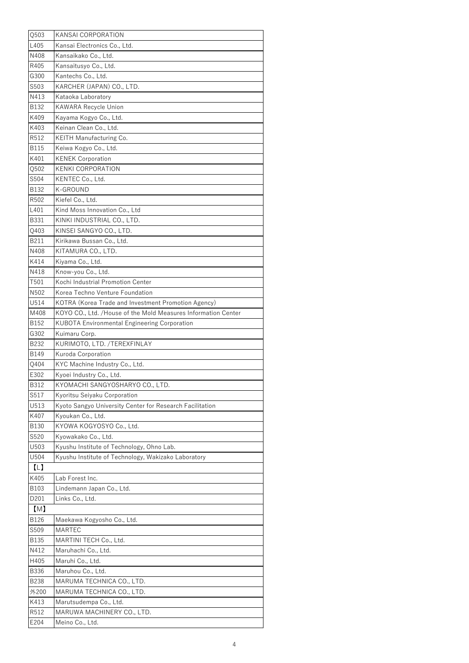| Q503<br><b>KANSAI CORPORATION</b><br>L405<br>Kansai Electronics Co., Ltd.<br>N408<br>Kansaikako Co., Ltd.<br>R405<br>Kansaitusyo Co., Ltd.<br>G300<br>Kantechs Co., Ltd.<br>S503<br>KARCHER (JAPAN) CO., LTD.<br>N413<br>Kataoka Laboratory<br>B132<br>KAWARA Recycle Union<br>K409<br>Kayama Kogyo Co., Ltd.<br>K403<br>Keinan Clean Co., Ltd.<br>R512<br>KEITH Manufacturing Co.<br><b>B115</b><br>Keiwa Kogyo Co., Ltd.<br>K401<br><b>KENEK Corporation</b><br>Q502<br><b>KENKI CORPORATION</b><br>S504<br>KENTEC Co., Ltd.<br>B132<br>K-GROUND<br>R502<br>Kiefel Co., Ltd.<br>L401<br>Kind Moss Innovation Co., Ltd<br><b>B331</b><br>KINKI INDUSTRIAL CO., LTD.<br>Q403<br>KINSEI SANGYO CO., LTD.<br>B211<br>Kirikawa Bussan Co., Ltd.<br>N408<br>KITAMURA CO., LTD.<br>K414<br>Kiyama Co., Ltd.<br>N418<br>Know-you Co., Ltd.<br>T501<br>Kochi Industrial Promotion Center<br>N502<br>Korea Techno Venture Foundation<br>U514<br>KOTRA (Korea Trade and Investment Promotion Agency)<br>M408<br>KOYO CO., Ltd. / House of the Mold Measures Information Center<br>B152<br><b>KUBOTA Environmental Engineering Corporation</b><br>G302<br>Kuimaru Corp.<br>B232<br>KURIMOTO, LTD. /TEREXFINLAY<br><b>B149</b><br>Kuroda Corporation<br>Q404<br>KYC Machine Industry Co., Ltd.<br>E302<br>Kyoei Industry Co., Ltd.<br><b>B312</b><br>KYOMACHI SANGYOSHARYO CO., LTD.<br>S517<br>Kyoritsu Seiyaku Corporation<br>U513<br>Kyoto Sangyo University Center for Research Facilitation<br>K407<br>Kyoukan Co., Ltd.<br><b>B130</b><br>KYOWA KOGYOSYO Co., Ltd.<br>S520<br>Kyowakako Co., Ltd.<br>U503<br>Kyushu Institute of Technology, Ohno Lab.<br>U504<br>Kyushu Institute of Technology, Wakizako Laboratory<br>$\Box$<br>K405<br>Lab Forest Inc.<br>B103<br>Lindemann Japan Co., Ltd.<br>D201<br>Links Co., Ltd.<br>[M] |
|------------------------------------------------------------------------------------------------------------------------------------------------------------------------------------------------------------------------------------------------------------------------------------------------------------------------------------------------------------------------------------------------------------------------------------------------------------------------------------------------------------------------------------------------------------------------------------------------------------------------------------------------------------------------------------------------------------------------------------------------------------------------------------------------------------------------------------------------------------------------------------------------------------------------------------------------------------------------------------------------------------------------------------------------------------------------------------------------------------------------------------------------------------------------------------------------------------------------------------------------------------------------------------------------------------------------------------------------------------------------------------------------------------------------------------------------------------------------------------------------------------------------------------------------------------------------------------------------------------------------------------------------------------------------------------------------------------------------------------------------------------------------------------------------------------------------------|
|                                                                                                                                                                                                                                                                                                                                                                                                                                                                                                                                                                                                                                                                                                                                                                                                                                                                                                                                                                                                                                                                                                                                                                                                                                                                                                                                                                                                                                                                                                                                                                                                                                                                                                                                                                                                                              |
|                                                                                                                                                                                                                                                                                                                                                                                                                                                                                                                                                                                                                                                                                                                                                                                                                                                                                                                                                                                                                                                                                                                                                                                                                                                                                                                                                                                                                                                                                                                                                                                                                                                                                                                                                                                                                              |
|                                                                                                                                                                                                                                                                                                                                                                                                                                                                                                                                                                                                                                                                                                                                                                                                                                                                                                                                                                                                                                                                                                                                                                                                                                                                                                                                                                                                                                                                                                                                                                                                                                                                                                                                                                                                                              |
|                                                                                                                                                                                                                                                                                                                                                                                                                                                                                                                                                                                                                                                                                                                                                                                                                                                                                                                                                                                                                                                                                                                                                                                                                                                                                                                                                                                                                                                                                                                                                                                                                                                                                                                                                                                                                              |
|                                                                                                                                                                                                                                                                                                                                                                                                                                                                                                                                                                                                                                                                                                                                                                                                                                                                                                                                                                                                                                                                                                                                                                                                                                                                                                                                                                                                                                                                                                                                                                                                                                                                                                                                                                                                                              |
|                                                                                                                                                                                                                                                                                                                                                                                                                                                                                                                                                                                                                                                                                                                                                                                                                                                                                                                                                                                                                                                                                                                                                                                                                                                                                                                                                                                                                                                                                                                                                                                                                                                                                                                                                                                                                              |
|                                                                                                                                                                                                                                                                                                                                                                                                                                                                                                                                                                                                                                                                                                                                                                                                                                                                                                                                                                                                                                                                                                                                                                                                                                                                                                                                                                                                                                                                                                                                                                                                                                                                                                                                                                                                                              |
|                                                                                                                                                                                                                                                                                                                                                                                                                                                                                                                                                                                                                                                                                                                                                                                                                                                                                                                                                                                                                                                                                                                                                                                                                                                                                                                                                                                                                                                                                                                                                                                                                                                                                                                                                                                                                              |
|                                                                                                                                                                                                                                                                                                                                                                                                                                                                                                                                                                                                                                                                                                                                                                                                                                                                                                                                                                                                                                                                                                                                                                                                                                                                                                                                                                                                                                                                                                                                                                                                                                                                                                                                                                                                                              |
|                                                                                                                                                                                                                                                                                                                                                                                                                                                                                                                                                                                                                                                                                                                                                                                                                                                                                                                                                                                                                                                                                                                                                                                                                                                                                                                                                                                                                                                                                                                                                                                                                                                                                                                                                                                                                              |
|                                                                                                                                                                                                                                                                                                                                                                                                                                                                                                                                                                                                                                                                                                                                                                                                                                                                                                                                                                                                                                                                                                                                                                                                                                                                                                                                                                                                                                                                                                                                                                                                                                                                                                                                                                                                                              |
|                                                                                                                                                                                                                                                                                                                                                                                                                                                                                                                                                                                                                                                                                                                                                                                                                                                                                                                                                                                                                                                                                                                                                                                                                                                                                                                                                                                                                                                                                                                                                                                                                                                                                                                                                                                                                              |
|                                                                                                                                                                                                                                                                                                                                                                                                                                                                                                                                                                                                                                                                                                                                                                                                                                                                                                                                                                                                                                                                                                                                                                                                                                                                                                                                                                                                                                                                                                                                                                                                                                                                                                                                                                                                                              |
|                                                                                                                                                                                                                                                                                                                                                                                                                                                                                                                                                                                                                                                                                                                                                                                                                                                                                                                                                                                                                                                                                                                                                                                                                                                                                                                                                                                                                                                                                                                                                                                                                                                                                                                                                                                                                              |
|                                                                                                                                                                                                                                                                                                                                                                                                                                                                                                                                                                                                                                                                                                                                                                                                                                                                                                                                                                                                                                                                                                                                                                                                                                                                                                                                                                                                                                                                                                                                                                                                                                                                                                                                                                                                                              |
|                                                                                                                                                                                                                                                                                                                                                                                                                                                                                                                                                                                                                                                                                                                                                                                                                                                                                                                                                                                                                                                                                                                                                                                                                                                                                                                                                                                                                                                                                                                                                                                                                                                                                                                                                                                                                              |
|                                                                                                                                                                                                                                                                                                                                                                                                                                                                                                                                                                                                                                                                                                                                                                                                                                                                                                                                                                                                                                                                                                                                                                                                                                                                                                                                                                                                                                                                                                                                                                                                                                                                                                                                                                                                                              |
|                                                                                                                                                                                                                                                                                                                                                                                                                                                                                                                                                                                                                                                                                                                                                                                                                                                                                                                                                                                                                                                                                                                                                                                                                                                                                                                                                                                                                                                                                                                                                                                                                                                                                                                                                                                                                              |
|                                                                                                                                                                                                                                                                                                                                                                                                                                                                                                                                                                                                                                                                                                                                                                                                                                                                                                                                                                                                                                                                                                                                                                                                                                                                                                                                                                                                                                                                                                                                                                                                                                                                                                                                                                                                                              |
|                                                                                                                                                                                                                                                                                                                                                                                                                                                                                                                                                                                                                                                                                                                                                                                                                                                                                                                                                                                                                                                                                                                                                                                                                                                                                                                                                                                                                                                                                                                                                                                                                                                                                                                                                                                                                              |
|                                                                                                                                                                                                                                                                                                                                                                                                                                                                                                                                                                                                                                                                                                                                                                                                                                                                                                                                                                                                                                                                                                                                                                                                                                                                                                                                                                                                                                                                                                                                                                                                                                                                                                                                                                                                                              |
|                                                                                                                                                                                                                                                                                                                                                                                                                                                                                                                                                                                                                                                                                                                                                                                                                                                                                                                                                                                                                                                                                                                                                                                                                                                                                                                                                                                                                                                                                                                                                                                                                                                                                                                                                                                                                              |
|                                                                                                                                                                                                                                                                                                                                                                                                                                                                                                                                                                                                                                                                                                                                                                                                                                                                                                                                                                                                                                                                                                                                                                                                                                                                                                                                                                                                                                                                                                                                                                                                                                                                                                                                                                                                                              |
|                                                                                                                                                                                                                                                                                                                                                                                                                                                                                                                                                                                                                                                                                                                                                                                                                                                                                                                                                                                                                                                                                                                                                                                                                                                                                                                                                                                                                                                                                                                                                                                                                                                                                                                                                                                                                              |
|                                                                                                                                                                                                                                                                                                                                                                                                                                                                                                                                                                                                                                                                                                                                                                                                                                                                                                                                                                                                                                                                                                                                                                                                                                                                                                                                                                                                                                                                                                                                                                                                                                                                                                                                                                                                                              |
|                                                                                                                                                                                                                                                                                                                                                                                                                                                                                                                                                                                                                                                                                                                                                                                                                                                                                                                                                                                                                                                                                                                                                                                                                                                                                                                                                                                                                                                                                                                                                                                                                                                                                                                                                                                                                              |
|                                                                                                                                                                                                                                                                                                                                                                                                                                                                                                                                                                                                                                                                                                                                                                                                                                                                                                                                                                                                                                                                                                                                                                                                                                                                                                                                                                                                                                                                                                                                                                                                                                                                                                                                                                                                                              |
|                                                                                                                                                                                                                                                                                                                                                                                                                                                                                                                                                                                                                                                                                                                                                                                                                                                                                                                                                                                                                                                                                                                                                                                                                                                                                                                                                                                                                                                                                                                                                                                                                                                                                                                                                                                                                              |
|                                                                                                                                                                                                                                                                                                                                                                                                                                                                                                                                                                                                                                                                                                                                                                                                                                                                                                                                                                                                                                                                                                                                                                                                                                                                                                                                                                                                                                                                                                                                                                                                                                                                                                                                                                                                                              |
|                                                                                                                                                                                                                                                                                                                                                                                                                                                                                                                                                                                                                                                                                                                                                                                                                                                                                                                                                                                                                                                                                                                                                                                                                                                                                                                                                                                                                                                                                                                                                                                                                                                                                                                                                                                                                              |
|                                                                                                                                                                                                                                                                                                                                                                                                                                                                                                                                                                                                                                                                                                                                                                                                                                                                                                                                                                                                                                                                                                                                                                                                                                                                                                                                                                                                                                                                                                                                                                                                                                                                                                                                                                                                                              |
|                                                                                                                                                                                                                                                                                                                                                                                                                                                                                                                                                                                                                                                                                                                                                                                                                                                                                                                                                                                                                                                                                                                                                                                                                                                                                                                                                                                                                                                                                                                                                                                                                                                                                                                                                                                                                              |
|                                                                                                                                                                                                                                                                                                                                                                                                                                                                                                                                                                                                                                                                                                                                                                                                                                                                                                                                                                                                                                                                                                                                                                                                                                                                                                                                                                                                                                                                                                                                                                                                                                                                                                                                                                                                                              |
|                                                                                                                                                                                                                                                                                                                                                                                                                                                                                                                                                                                                                                                                                                                                                                                                                                                                                                                                                                                                                                                                                                                                                                                                                                                                                                                                                                                                                                                                                                                                                                                                                                                                                                                                                                                                                              |
|                                                                                                                                                                                                                                                                                                                                                                                                                                                                                                                                                                                                                                                                                                                                                                                                                                                                                                                                                                                                                                                                                                                                                                                                                                                                                                                                                                                                                                                                                                                                                                                                                                                                                                                                                                                                                              |
|                                                                                                                                                                                                                                                                                                                                                                                                                                                                                                                                                                                                                                                                                                                                                                                                                                                                                                                                                                                                                                                                                                                                                                                                                                                                                                                                                                                                                                                                                                                                                                                                                                                                                                                                                                                                                              |
|                                                                                                                                                                                                                                                                                                                                                                                                                                                                                                                                                                                                                                                                                                                                                                                                                                                                                                                                                                                                                                                                                                                                                                                                                                                                                                                                                                                                                                                                                                                                                                                                                                                                                                                                                                                                                              |
|                                                                                                                                                                                                                                                                                                                                                                                                                                                                                                                                                                                                                                                                                                                                                                                                                                                                                                                                                                                                                                                                                                                                                                                                                                                                                                                                                                                                                                                                                                                                                                                                                                                                                                                                                                                                                              |
|                                                                                                                                                                                                                                                                                                                                                                                                                                                                                                                                                                                                                                                                                                                                                                                                                                                                                                                                                                                                                                                                                                                                                                                                                                                                                                                                                                                                                                                                                                                                                                                                                                                                                                                                                                                                                              |
|                                                                                                                                                                                                                                                                                                                                                                                                                                                                                                                                                                                                                                                                                                                                                                                                                                                                                                                                                                                                                                                                                                                                                                                                                                                                                                                                                                                                                                                                                                                                                                                                                                                                                                                                                                                                                              |
|                                                                                                                                                                                                                                                                                                                                                                                                                                                                                                                                                                                                                                                                                                                                                                                                                                                                                                                                                                                                                                                                                                                                                                                                                                                                                                                                                                                                                                                                                                                                                                                                                                                                                                                                                                                                                              |
|                                                                                                                                                                                                                                                                                                                                                                                                                                                                                                                                                                                                                                                                                                                                                                                                                                                                                                                                                                                                                                                                                                                                                                                                                                                                                                                                                                                                                                                                                                                                                                                                                                                                                                                                                                                                                              |
|                                                                                                                                                                                                                                                                                                                                                                                                                                                                                                                                                                                                                                                                                                                                                                                                                                                                                                                                                                                                                                                                                                                                                                                                                                                                                                                                                                                                                                                                                                                                                                                                                                                                                                                                                                                                                              |
|                                                                                                                                                                                                                                                                                                                                                                                                                                                                                                                                                                                                                                                                                                                                                                                                                                                                                                                                                                                                                                                                                                                                                                                                                                                                                                                                                                                                                                                                                                                                                                                                                                                                                                                                                                                                                              |
|                                                                                                                                                                                                                                                                                                                                                                                                                                                                                                                                                                                                                                                                                                                                                                                                                                                                                                                                                                                                                                                                                                                                                                                                                                                                                                                                                                                                                                                                                                                                                                                                                                                                                                                                                                                                                              |
|                                                                                                                                                                                                                                                                                                                                                                                                                                                                                                                                                                                                                                                                                                                                                                                                                                                                                                                                                                                                                                                                                                                                                                                                                                                                                                                                                                                                                                                                                                                                                                                                                                                                                                                                                                                                                              |
| <b>B126</b><br>Maekawa Kogyosho Co., Ltd.                                                                                                                                                                                                                                                                                                                                                                                                                                                                                                                                                                                                                                                                                                                                                                                                                                                                                                                                                                                                                                                                                                                                                                                                                                                                                                                                                                                                                                                                                                                                                                                                                                                                                                                                                                                    |
| S509<br><b>MARTEC</b>                                                                                                                                                                                                                                                                                                                                                                                                                                                                                                                                                                                                                                                                                                                                                                                                                                                                                                                                                                                                                                                                                                                                                                                                                                                                                                                                                                                                                                                                                                                                                                                                                                                                                                                                                                                                        |
| <b>B135</b><br>MARTINI TECH Co., Ltd.                                                                                                                                                                                                                                                                                                                                                                                                                                                                                                                                                                                                                                                                                                                                                                                                                                                                                                                                                                                                                                                                                                                                                                                                                                                                                                                                                                                                                                                                                                                                                                                                                                                                                                                                                                                        |
| N412<br>Maruhachi Co., Ltd.                                                                                                                                                                                                                                                                                                                                                                                                                                                                                                                                                                                                                                                                                                                                                                                                                                                                                                                                                                                                                                                                                                                                                                                                                                                                                                                                                                                                                                                                                                                                                                                                                                                                                                                                                                                                  |
| H405<br>Maruhi Co., Ltd.                                                                                                                                                                                                                                                                                                                                                                                                                                                                                                                                                                                                                                                                                                                                                                                                                                                                                                                                                                                                                                                                                                                                                                                                                                                                                                                                                                                                                                                                                                                                                                                                                                                                                                                                                                                                     |
| <b>B336</b><br>Maruhou Co., Ltd.                                                                                                                                                                                                                                                                                                                                                                                                                                                                                                                                                                                                                                                                                                                                                                                                                                                                                                                                                                                                                                                                                                                                                                                                                                                                                                                                                                                                                                                                                                                                                                                                                                                                                                                                                                                             |
| <b>B238</b><br>MARUMA TECHNICA CO., LTD.                                                                                                                                                                                                                                                                                                                                                                                                                                                                                                                                                                                                                                                                                                                                                                                                                                                                                                                                                                                                                                                                                                                                                                                                                                                                                                                                                                                                                                                                                                                                                                                                                                                                                                                                                                                     |
|                                                                                                                                                                                                                                                                                                                                                                                                                                                                                                                                                                                                                                                                                                                                                                                                                                                                                                                                                                                                                                                                                                                                                                                                                                                                                                                                                                                                                                                                                                                                                                                                                                                                                                                                                                                                                              |
|                                                                                                                                                                                                                                                                                                                                                                                                                                                                                                                                                                                                                                                                                                                                                                                                                                                                                                                                                                                                                                                                                                                                                                                                                                                                                                                                                                                                                                                                                                                                                                                                                                                                                                                                                                                                                              |
| 外200<br>MARUMA TECHNICA CO., LTD.                                                                                                                                                                                                                                                                                                                                                                                                                                                                                                                                                                                                                                                                                                                                                                                                                                                                                                                                                                                                                                                                                                                                                                                                                                                                                                                                                                                                                                                                                                                                                                                                                                                                                                                                                                                            |
| K413<br>Marutsudempa Co., Ltd.<br>R512<br>MARUWA MACHINERY CO., LTD.                                                                                                                                                                                                                                                                                                                                                                                                                                                                                                                                                                                                                                                                                                                                                                                                                                                                                                                                                                                                                                                                                                                                                                                                                                                                                                                                                                                                                                                                                                                                                                                                                                                                                                                                                         |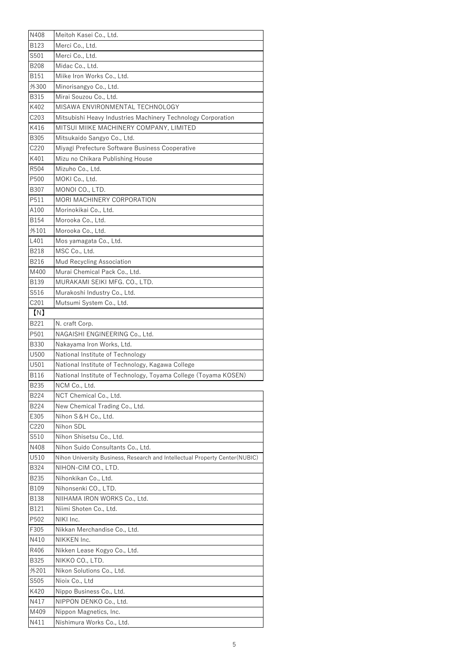| N408         | Meitoh Kasei Co., Ltd.                                                      |
|--------------|-----------------------------------------------------------------------------|
| B123         | Merci Co., Ltd.                                                             |
| S501         | Merci Co., Ltd.                                                             |
| <b>B208</b>  | Midac Co., Ltd.                                                             |
| <b>B151</b>  | Miike Iron Works Co., Ltd.                                                  |
| 外300         | Minorisangyo Co., Ltd.                                                      |
| <b>B315</b>  | Mirai Souzou Co., Ltd.                                                      |
| K402         | MISAWA ENVIRONMENTAL TECHNOLOGY                                             |
| C203         | Mitsubishi Heavy Industries Machinery Technology Corporation                |
| K416         | MITSUI MIIKE MACHINERY COMPANY, LIMITED                                     |
| B305         | Mitsukaido Sangyo Co., Ltd.                                                 |
| C220         |                                                                             |
|              | Miyagi Prefecture Software Business Cooperative                             |
| K401         | Mizu no Chikara Publishing House                                            |
| R504         | Mizuho Co., Ltd.                                                            |
| P500         | MOKI Co., Ltd.                                                              |
| B307         | MONOI CO., LTD.                                                             |
| P511         | MORI MACHINERY CORPORATION                                                  |
| A100         | Morinokikai Co., Ltd.                                                       |
| B154         | Morooka Co., Ltd.                                                           |
| 外101         | Morooka Co., Ltd.                                                           |
| L401         | Mos yamagata Co., Ltd.                                                      |
| <b>B218</b>  | MSC Co., Ltd.                                                               |
| B216         | Mud Recycling Association                                                   |
| M400         | Murai Chemical Pack Co., Ltd.                                               |
| B139         | MURAKAMI SEIKI MFG. CO., LTD.                                               |
| S516         | Murakoshi Industry Co., Ltd.                                                |
| C201         | Mutsumi System Co., Ltd.                                                    |
| [N]          |                                                                             |
| B221         | N. craft Corp.                                                              |
|              |                                                                             |
| P501         | NAGAISHI ENGINEERING Co., Ltd.                                              |
| <b>B330</b>  | Nakayama Iron Works, Ltd.                                                   |
| U500         | National Institute of Technology                                            |
| U501         | National Institute of Technology, Kagawa College                            |
| <b>B116</b>  | National Institute of Technology, Toyama College (Toyama KOSEN)             |
| B235         | NCM Co., Ltd.                                                               |
| B224         | NCT Chemical Co., Ltd.                                                      |
| B224         | New Chemical Trading Co., Ltd.                                              |
| E305         | Nihon S & H Co., Ltd.                                                       |
| C220         | Nihon SDL                                                                   |
| S510         | Nihon Shisetsu Co., Ltd.                                                    |
| N408         | Nihon Suido Consultants Co., Ltd.                                           |
| U510         | Nihon University Business, Research and Intellectual Property Center(NUBIC) |
| B324         | NIHON-CIM CO., LTD.                                                         |
| B235         | Nihonkikan Co., Ltd.                                                        |
| B109         | Nihonsenki CO., LTD.                                                        |
| <b>B138</b>  | NIIHAMA IRON WORKS Co., Ltd.                                                |
| B121         | Niimi Shoten Co., Ltd.                                                      |
| P502         | NIKI Inc.                                                                   |
| F305         | Nikkan Merchandise Co., Ltd.                                                |
| N410         | NIKKEN Inc.                                                                 |
| R406         | Nikken Lease Kogyo Co., Ltd.                                                |
| B325         | NIKKO CO., LTD.                                                             |
|              |                                                                             |
| 外201         | Nikon Solutions Co., Ltd.                                                   |
| S505         | Nioix Co., Ltd                                                              |
| K420         | Nippo Business Co., Ltd.                                                    |
| N417         | NIPPON DENKO Co., Ltd.                                                      |
| M409<br>N411 | Nippon Magnetics, Inc.<br>Nishimura Works Co., Ltd.                         |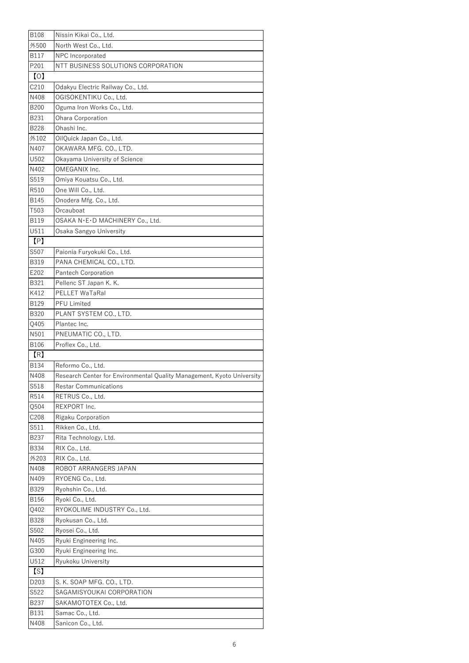| <b>B108</b>         | Nissin Kikai Co., Ltd.                                                 |
|---------------------|------------------------------------------------------------------------|
| 外500                | North West Co., Ltd.                                                   |
| <b>B117</b>         | NPC Incorporated                                                       |
| P201                | NTT BUSINESS SOLUTIONS CORPORATION                                     |
| [0]                 |                                                                        |
| C210                | Odakyu Electric Railway Co., Ltd.                                      |
| N408                | OGISOKENTIKU Co., Ltd.                                                 |
| <b>B200</b>         | Oguma Iron Works Co., Ltd.                                             |
| B231                | Ohara Corporation                                                      |
| <b>B228</b>         | Ohashi Inc.                                                            |
| 外102                | OilQuick Japan Co., Ltd.                                               |
| N407                | OKAWARA MFG. CO., LTD.                                                 |
| U502                | Okayama University of Science                                          |
| N402                | OMEGANIX Inc.                                                          |
| S519                | Omiya Kouatsu Co., Ltd.                                                |
| R510                | One Will Co., Ltd.                                                     |
| <b>B145</b>         | Onodera Mfg. Co., Ltd.                                                 |
| T503                | Orcauboat                                                              |
| <b>B119</b>         | OSAKA N·E·D MACHINERY Co., Ltd.                                        |
| U511                | Osaka Sangyo University                                                |
| [P]                 |                                                                        |
| S507                | Paionia Furyokuki Co., Ltd.                                            |
| <b>B319</b>         | PANA CHEMICAL CO., LTD.                                                |
| E202                | Pantech Corporation                                                    |
| <b>B321</b>         | Pellenc ST Japan K. K.                                                 |
| K412                | PELLET WaTaRal                                                         |
| <b>B129</b>         | <b>PFU Limited</b>                                                     |
| B320                | PLANT SYSTEM CO., LTD.                                                 |
| Q405                | Plantec Inc.                                                           |
| N501                | PNEUMATIC CO., LTD.                                                    |
| <b>B106</b>         | Proflex Co., Ltd.                                                      |
| [R]                 |                                                                        |
| <b>B134</b>         | Reformo Co., Ltd.                                                      |
| N408                | Research Center for Environmental Quality Management, Kyoto University |
| S518                | <b>Restar Communications</b>                                           |
| R514                | RETRUS Co., Ltd.                                                       |
| Q504                | REXPORT Inc.                                                           |
| C208                |                                                                        |
|                     | Rigaku Corporation                                                     |
| S511                | Rikken Co., Ltd.                                                       |
| B237                | Rita Technology, Ltd.                                                  |
| <b>B334</b>         | RIX Co., Ltd.                                                          |
| 外203                | RIX Co., Ltd.                                                          |
| N408                | ROBOT ARRANGERS JAPAN                                                  |
| N409                | RYOENG Co., Ltd.                                                       |
| <b>B329</b>         | Ryohshin Co., Ltd.                                                     |
| <b>B156</b>         | Ryoki Co., Ltd.                                                        |
| Q402                | RYOKOLIME INDUSTRY Co., Ltd.                                           |
| <b>B328</b>         | Ryokusan Co., Ltd.                                                     |
| S502                | Ryosei Co., Ltd.                                                       |
| N405                | Ryuki Engineering Inc.                                                 |
| G300                | Ryuki Engineering Inc.                                                 |
| U512                | Ryukoku University                                                     |
| $\sf{[S]}$          |                                                                        |
| D203                | S. K. SOAP MFG. CO., LTD.                                              |
| S522                | SAGAMISYOUKAI CORPORATION                                              |
| B237                | SAKAMOTOTEX Co., Ltd.                                                  |
| <b>B131</b><br>N408 | Samac Co., Ltd.<br>Sanicon Co., Ltd.                                   |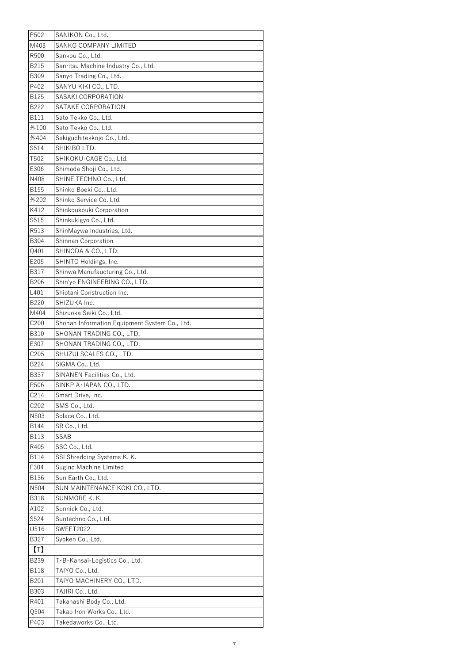| P502        | SANIKON Co., Ltd.                             |
|-------------|-----------------------------------------------|
| M403        | SANKO COMPANY LIMITED                         |
| R500        | Sankou Co., Ltd.                              |
| B215        |                                               |
| <b>B309</b> | Sanritsu Machine Industry Co., Ltd.           |
| P402        | Sanyo Trading Co., Ltd.                       |
|             | SANYU KIKI CO., LTD.<br>SASAKI CORPORATION    |
| <b>B125</b> |                                               |
| B222        | SATAKE CORPORATION                            |
| <b>B111</b> | Sato Tekko Co., Ltd.                          |
| 外100        | Sato Tekko Co., Ltd.                          |
| 外404        | Sekiguchitekkojo Co., Ltd.                    |
| S514        | SHIKIBO LTD.                                  |
| T502        | SHIKOKU-CAGE Co., Ltd.                        |
| E306        | Shimada Shoji Co., Ltd.                       |
| N408        | SHINEITECHNO Co., Ltd.                        |
| <b>B155</b> | Shinko Boeki Co., Ltd.                        |
| 外202        | Shinko Service Co. Ltd.                       |
| K412        | Shinkoukouki Corporation                      |
| S515        | Shinkukigyo Co., Ltd.                         |
| R513        | ShinMaywa Industries, Ltd.                    |
| B304        | Shinnan Corporation                           |
| Q401        | SHINODA & CO., LTD.                           |
| E205        | SHINTO Holdings, Inc.                         |
| <b>B317</b> | Shinwa Manufaucturing Co., Ltd.               |
| B206        | Shin'yo ENGINEERING CO., LTD.                 |
| L401        | Shiotani Construction Inc.                    |
| B220        | SHIZUKA Inc.                                  |
| M404        | Shizuoka Seiki Co., Ltd.                      |
| C200        | Shonan Information Equipment System Co., Ltd. |
| <b>B310</b> | SHONAN TRADING CO., LTD.                      |
| E307        | SHONAN TRADING CO., LTD.                      |
| C205        | SHUZUI SCALES CO., LTD.                       |
| B224        | SIGMA Co., Ltd.                               |
| <b>B337</b> | SINANEN Facilities Co., Ltd.                  |
| P506        | SINKPIA·JAPAN CO., LTD.                       |
| C214        | Smart Drive, Inc.                             |
| C202        | SMS Co., Ltd.                                 |
| N503        | Solace Co., Ltd.                              |
| <b>B144</b> | SR Co., Ltd.                                  |
| <b>B113</b> | <b>SSAB</b>                                   |
| R405        | SSC Co., Ltd.                                 |
| <b>B114</b> | SSI Shredding Systems K. K.                   |
| F304        | Sugino Machine Limited                        |
| <b>B136</b> | Sun Earth Co., Ltd.                           |
| N504        | SUN MAINTENANCE KOKI CO., LTD.                |
| <b>B318</b> | SUNMORE K. K.                                 |
| A102        | Sunnick Co., Ltd.                             |
| S524        | Suntechno Co., Ltd.                           |
| U516        | SWEET2022                                     |
| <b>B327</b> | Syoken Co., Ltd.                              |
| (T)         |                                               |
| B239        | T·B·Kansai-Logistics Co., Ltd.                |
| <b>B118</b> | TAIYO Co., Ltd.                               |
| B201        | TAIYO MACHINERY CO., LTD.                     |
| B303        | TAJIRI Co., Ltd.                              |
| R401        | Takahashi Body Co., Ltd.                      |
| Q504        | Takao Iron Works Co., Ltd.                    |
| P403        | Takedaworks Co., Ltd.                         |
|             |                                               |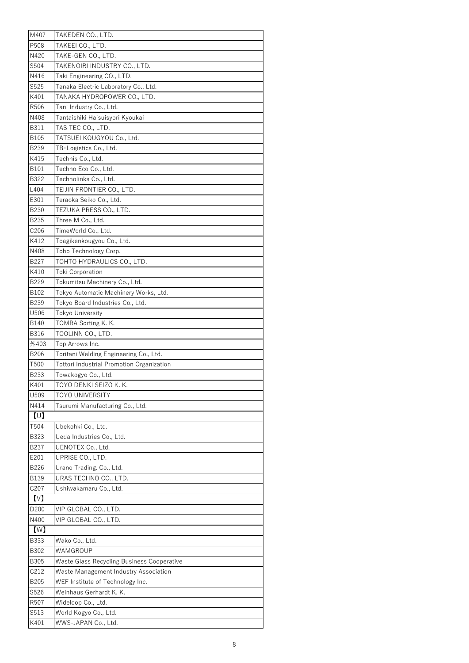| M407                | TAKEDEN CO., LTD.                                                                          |
|---------------------|--------------------------------------------------------------------------------------------|
| P508                | TAKEEI CO., LTD.                                                                           |
| N420                | TAKE-GEN CO., LTD.                                                                         |
| S504                | TAKENOIRI INDUSTRY CO., LTD.                                                               |
| N416                | Taki Engineering CO., LTD.                                                                 |
| S525                | Tanaka Electric Laboratory Co., Ltd.                                                       |
| K401                | TANAKA HYDROPOWER CO., LTD.                                                                |
| R506                | Tani Industry Co., Ltd.                                                                    |
| N408                | Tantaishiki Haisuisyori Kyoukai                                                            |
| <b>B311</b>         | TAS TEC CO., LTD.                                                                          |
| <b>B105</b>         | TATSUEI KOUGYOU Co., Ltd.                                                                  |
| <b>B239</b>         | TB·Logistics Co., Ltd.                                                                     |
| K415                | Technis Co., Ltd.                                                                          |
| B101                | Techno Eco Co., Ltd.                                                                       |
| B322                | Technolinks Co., Ltd.                                                                      |
| L404                | TEIJIN FRONTIER CO., LTD.                                                                  |
| E301                | Teraoka Seiko Co., Ltd.                                                                    |
| B230                | TEZUKA PRESS CO., LTD.                                                                     |
| <b>B235</b>         | Three M Co., Ltd.                                                                          |
| C206                | TimeWorld Co., Ltd.                                                                        |
| K412                | Toagikenkougyou Co., Ltd.                                                                  |
| N408                | Toho Technology Corp.                                                                      |
| B227                | TOHTO HYDRAULICS CO., LTD.                                                                 |
| K410                | <b>Toki Corporation</b>                                                                    |
| B229                | Tokumitsu Machinery Co., Ltd.                                                              |
| B102                | Tokyo Automatic Machinery Works, Ltd.                                                      |
| B239                | Tokyo Board Industries Co., Ltd.                                                           |
| U506                | <b>Tokyo University</b>                                                                    |
| <b>B140</b>         | TOMRA Sorting K. K.                                                                        |
| <b>B316</b>         | TOOLINN CO., LTD.                                                                          |
| 外403                | Top Arrows Inc.                                                                            |
| B206                | Toritani Welding Engineering Co., Ltd.                                                     |
| T500                | <b>Tottori Industrial Promotion Organization</b>                                           |
| B233                | Towakogyo Co., Ltd.                                                                        |
| K401                | TOYO DENKI SEIZO K. K.                                                                     |
| U509                | <b>TOYO UNIVERSITY</b>                                                                     |
| N414                | Tsurumi Manufacturing Co., Ltd.                                                            |
| $[\cup]$            |                                                                                            |
| T504                | Ubekohki Co., Ltd.                                                                         |
| B323                | Ueda Industries Co., Ltd.                                                                  |
| B237                | UENOTEX Co., Ltd.                                                                          |
| E201                | UPRISE CO., LTD.                                                                           |
| B226                | Urano Trading. Co., Ltd.                                                                   |
| <b>B139</b>         | URAS TECHNO CO., LTD.                                                                      |
| C207                | Ushiwakamaru Co., Ltd.                                                                     |
| [V]                 |                                                                                            |
| D200                |                                                                                            |
| N400                | VIP GLOBAL CO., LTD.<br>VIP GLOBAL CO., LTD.                                               |
| (W)                 |                                                                                            |
|                     |                                                                                            |
| <b>B333</b><br>B302 | Wako Co., Ltd.<br>WAMGROUP                                                                 |
| <b>B305</b>         |                                                                                            |
| C212                | <b>Waste Glass Recycling Business Cooperative</b><br>Waste Management Industry Association |
|                     |                                                                                            |
| B205                | WEF Institute of Technology Inc.                                                           |
| S526<br>R507        | Weinhaus Gerhardt K. K.                                                                    |
| S513                | Wideloop Co., Ltd.                                                                         |
| K401                | World Kogyo Co., Ltd.<br>WWS-JAPAN Co., Ltd.                                               |
|                     |                                                                                            |